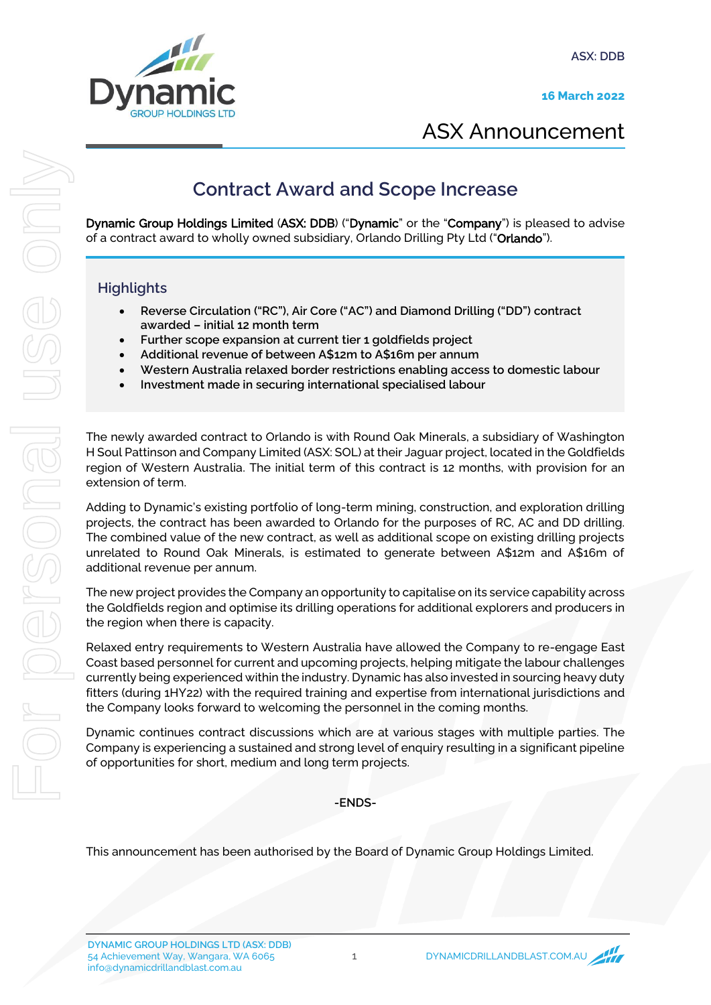**ASX: DDB**

**16 March 2022**



ASX Announcement

## **Contract Award and Scope Increase**

Dynamic Group Holdings Limited (ASX: DDB) ("Dynamic" or the "Company") is pleased to advise of a contract award to wholly owned subsidiary, Orlando Drilling Pty Ltd ("Orlando").

### **Highlights**

- **Reverse Circulation ("RC"), Air Core ("AC") and Diamond Drilling ("DD") contract awarded – initial 12 month term**
- **Further scope expansion at current tier 1 goldfields project**
- **Additional revenue of between A\$12m to A\$16m per annum**
- **Western Australia relaxed border restrictions enabling access to domestic labour**
- **Investment made in securing international specialised labour**

The newly awarded contract to Orlando is with Round Oak Minerals, a subsidiary of Washington H Soul Pattinson and Company Limited (ASX: SOL) at their Jaguar project, located in the Goldfields region of Western Australia. The initial term of this contract is 12 months, with provision for an extension of term.

Adding to Dynamic's existing portfolio of long-term mining, construction, and exploration drilling projects, the contract has been awarded to Orlando for the purposes of RC, AC and DD drilling. The combined value of the new contract, as well as additional scope on existing drilling projects unrelated to Round Oak Minerals, is estimated to generate between A\$12m and A\$16m of additional revenue per annum. Continect Award and Scope Increase<br>
Dynamic Group Holdings Limited (ASK: DDB): Crymamic' or the "Company") is pleased to<br>
of a contract award to whally owners subsidiary, Orlando Drilling Pty Ltd (Ordando").<br>
Highlights<br>
H

The new project provides the Company an opportunity to capitalise on its service capability across the Goldfields region and optimise its drilling operations for additional explorers and producers in the region when there is capacity.

Relaxed entry requirements to Western Australia have allowed the Company to re-engage East Coast based personnel for current and upcoming projects, helping mitigate the labour challenges currently being experienced within the industry. Dynamic has also invested in sourcing heavy duty fitters (during 1HY22) with the required training and expertise from international jurisdictions and the Company looks forward to welcoming the personnel in the coming months.

Dynamic continues contract discussions which are at various stages with multiple parties. The Company is experiencing a sustained and strong level of enquiry resulting in a significant pipeline of opportunities for short, medium and long term projects.

**-ENDS-**